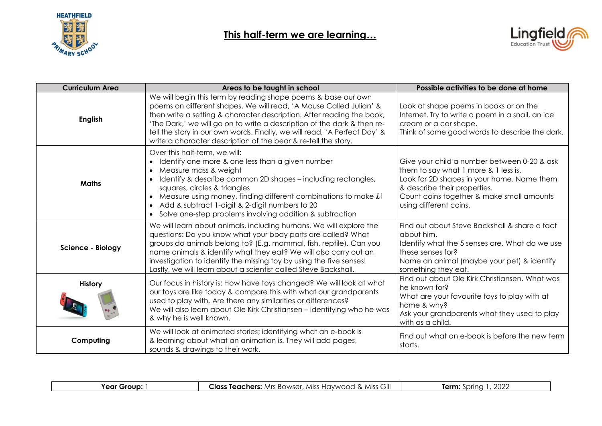



| <b>Curriculum Area</b> | Areas to be taught in school                                                                                                                                                                                                                                                                                                                                                                                                           | Possible activities to be done at home                                                                                                                                                                                                   |
|------------------------|----------------------------------------------------------------------------------------------------------------------------------------------------------------------------------------------------------------------------------------------------------------------------------------------------------------------------------------------------------------------------------------------------------------------------------------|------------------------------------------------------------------------------------------------------------------------------------------------------------------------------------------------------------------------------------------|
| <b>English</b>         | We will begin this term by reading shape poems & base our own<br>poems on different shapes. We will read, 'A Mouse Called Julian' &<br>then write a setting & character description. After reading the book,<br>'The Dark,' we will go on to write a description of the dark & then re-<br>tell the story in our own words. Finally, we will read, 'A Perfect Day' &<br>write a character description of the bear & re-tell the story. | Look at shape poems in books or on the<br>Internet. Try to write a poem in a snail, an ice<br>cream or a car shape.<br>Think of some good words to describe the dark.                                                                    |
| <b>Maths</b>           | Over this half-term, we will:<br>Identify one more & one less than a given number<br>Measure mass & weight<br>Identify & describe common 2D shapes - including rectangles,<br>squares, circles & triangles<br>• Measure using money, finding different combinations to make £1<br>Add & subtract 1-digit & 2-digit numbers to 20<br>• Solve one-step problems involving addition & subtraction                                         | Give your child a number between 0-20 & ask<br>them to say what 1 more & 1 less is.<br>Look for 2D shapes in your home. Name them<br>& describe their properties.<br>Count coins together & make small amounts<br>using different coins. |
| Science - Biology      | We will learn about animals, including humans. We will explore the<br>questions: Do you know what your body parts are called? What<br>groups do animals belong to? (E.g. mammal, fish, reptile). Can you<br>name animals & identify what they eat? We will also carry out an<br>investigation to identify the missing toy by using the five senses!<br>Lastly, we will learn about a scientist called Steve Backshall.                 | Find out about Steve Backshall & share a fact<br>about him.<br>Identify what the 5 senses are. What do we use<br>these senses for?<br>Name an animal (maybe your pet) & identify<br>something they eat.                                  |
| <b>History</b>         | Our focus in history is: How have toys changed? We will look at what<br>our toys are like today & compare this with what our grandparents<br>used to play with. Are there any similarities or differences?<br>We will also learn about Ole Kirk Christiansen – identifying who he was<br>& why he is well known.                                                                                                                       | Find out about Ole Kirk Christiansen. What was<br>he known for?<br>What are your favourite toys to play with at<br>home & why?<br>Ask your grandparents what they used to play<br>with as a child.                                       |
| Computing              | We will look at animated stories; identifying what an e-book is<br>& learning about what an animation is. They will add pages,<br>sounds & drawings to their work.                                                                                                                                                                                                                                                                     | Find out what an e-book is before the new term<br>starts.                                                                                                                                                                                |

| Year<br>Group | <b>~…</b><br>Class<br>Teachers:<br>. Miss<br>Miss<br>. Bowser.<br>: HAWWOOC<br>ااات<br>Mrs. | nnnr<br><b>Arm</b><br>nnn<br><b>LULL</b> |
|---------------|---------------------------------------------------------------------------------------------|------------------------------------------|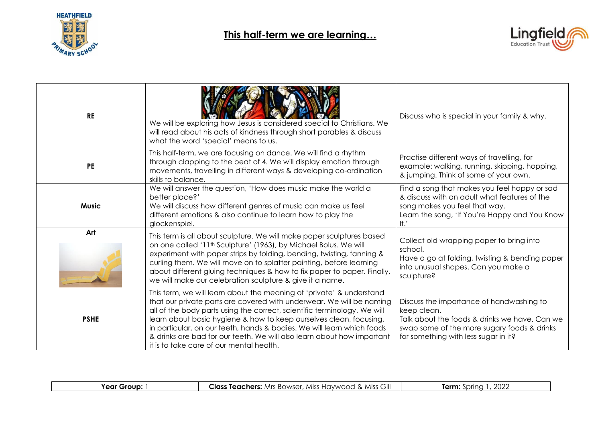



| <b>RE</b>    | We will be exploring how Jesus is considered special to Christians. We<br>will read about his acts of kindness through short parables & discuss<br>what the word 'special' means to us.                                                                                                                                                                                                                                                                                                        | Discuss who is special in your family & why.                                                                                                                                                      |
|--------------|------------------------------------------------------------------------------------------------------------------------------------------------------------------------------------------------------------------------------------------------------------------------------------------------------------------------------------------------------------------------------------------------------------------------------------------------------------------------------------------------|---------------------------------------------------------------------------------------------------------------------------------------------------------------------------------------------------|
| <b>PE</b>    | This half-term, we are focusing on dance. We will find a rhythm<br>through clapping to the beat of 4. We will display emotion through<br>movements, travelling in different ways & developing co-ordination<br>skills to balance.                                                                                                                                                                                                                                                              | Practise different ways of travelling, for<br>example: walking, running, skipping, hopping,<br>& jumping. Think of some of your own.                                                              |
| <b>Music</b> | We will answer the question, 'How does music make the world a<br>better place?'<br>We will discuss how different genres of music can make us feel<br>different emotions & also continue to learn how to play the<br>glockenspiel.                                                                                                                                                                                                                                                              | Find a song that makes you feel happy or sad<br>& discuss with an adult what features of the<br>song makes you feel that way.<br>Learn the song, 'If You're Happy and You Know<br>$\mathsf{It}$ . |
| Art          | This term is all about sculpture. We will make paper sculptures based<br>on one called '11 <sup>th</sup> Sculpture' (1963), by Michael Bolus. We will<br>experiment with paper strips by folding, bending, twisting, fanning &<br>curling them. We will move on to splatter painting, before learning<br>about different gluing techniques & how to fix paper to paper. Finally,<br>we will make our celebration sculpture & give it a name.                                                   | Collect old wrapping paper to bring into<br>school.<br>Have a go at folding, twisting & bending paper<br>into unusual shapes. Can you make a<br>sculpture?                                        |
| <b>PSHE</b>  | This term, we will learn about the meaning of 'private' & understand<br>that our private parts are covered with underwear. We will be naming<br>all of the body parts using the correct, scientific terminology. We will<br>learn about basic hygiene & how to keep ourselves clean, focusing,<br>in particular, on our teeth, hands & bodies. We will learn which foods<br>& drinks are bad for our teeth. We will also learn about how important<br>it is to take care of our mental health. | Discuss the importance of handwashing to<br>keep clean.<br>Talk about the foods & drinks we have. Can we<br>swap some of the more sugary foods & drinks<br>for something with less sugar in it?   |

| יווחז,<br>. ∩ ∼<br>м<br>$\overline{\phantom{a}}$ | Gill<br>Miss<br>$\sim$<br>$M$ isc $\degree$<br>Mrs<br>∟las∘<br>Teac<br>cners<br>$\sim$ BOWSC.<br>$\cdots$<br>$\cdots$<br>ີ | $\sim$<br>$\sim$<br>-<br>. .<br>WLL |
|--------------------------------------------------|----------------------------------------------------------------------------------------------------------------------------|-------------------------------------|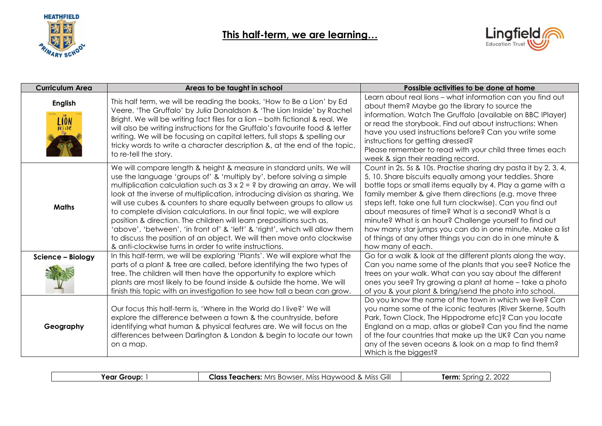



| <b>Curriculum Area</b>        | Areas to be taught in school                                                                                                                                                                                                                                                                                                                                                                                                                                                                                                                                                                                                                                                                                                                                 | Possible activities to be done at home                                                                                                                                                                                                                                                                                                                                                                                                                                                                                                                                             |
|-------------------------------|--------------------------------------------------------------------------------------------------------------------------------------------------------------------------------------------------------------------------------------------------------------------------------------------------------------------------------------------------------------------------------------------------------------------------------------------------------------------------------------------------------------------------------------------------------------------------------------------------------------------------------------------------------------------------------------------------------------------------------------------------------------|------------------------------------------------------------------------------------------------------------------------------------------------------------------------------------------------------------------------------------------------------------------------------------------------------------------------------------------------------------------------------------------------------------------------------------------------------------------------------------------------------------------------------------------------------------------------------------|
| <b>English</b><br><b>LION</b> | This half term, we will be reading the books, 'How to Be a Lion' by Ed<br>Veere, 'The Gruffalo' by Julia Donaldson & 'The Lion Inside' by Rachel<br>Bright. We will be writing fact files for a lion - both fictional & real. We<br>will also be writing instructions for the Gruffalo's favourite food & letter<br>writing. We will be focusing on capital letters, full stops & spelling our<br>tricky words to write a character description &, at the end of the topic,<br>to re-tell the story.                                                                                                                                                                                                                                                         | Learn about real lions – what information can you find out<br>about them? Maybe go the library to source the<br>information. Watch The Gruffalo (available on BBC IPlayer)<br>or read the storybook. Find out about instructions: When<br>have you used instructions before? Can you write some<br>instructions for getting dressed?<br>Please remember to read with your child three times each<br>week & sign their reading record.                                                                                                                                              |
| <b>Maths</b>                  | We will compare length & height & measure in standard units. We will<br>use the language 'groups of' & 'multiply by', before solving a simple<br>multiplication calculation such as $3 \times 2 = ?$ by drawing an array. We will<br>look at the inverse of multiplication, introducing division as sharing. We<br>will use cubes & counters to share equally between groups to allow us<br>to complete division calculations. In our final topic, we will explore<br>position & direction. The children will learn prepositions such as,<br>'above', 'between', 'in front of' & 'left' & 'right', which will allow them<br>to discuss the position of an object. We will then move onto clockwise<br>& anti-clockwise turns in order to write instructions. | Count in 2s, 5s & 10s. Practise sharing dry pasta it by 2, 3, 4,<br>5, 10. Share biscuits equally among your teddies. Share<br>bottle tops or small items equally by 4. Play a game with a<br>family member & give them directions (e.g. move three<br>steps left, take one full turn clockwise). Can you find out<br>about measures of time? What is a second? What is a<br>minute? What is an hour? Challenge yourself to find out<br>how many star jumps you can do in one minute. Make a list<br>of things of any other things you can do in one minute &<br>how many of each. |
| Science - Biology             | In this half-term, we will be exploring 'Plants'. We will explore what the<br>parts of a plant & tree are called, before identifying the two types of<br>tree. The children will then have the opportunity to explore which<br>plants are most likely to be found inside & outside the home. We will<br>finish this topic with an investigation to see how tall a bean can grow.                                                                                                                                                                                                                                                                                                                                                                             | Go for a walk & look at the different plants along the way.<br>Can you name some of the plants that you see? Notice the<br>trees on your walk. What can you say about the different<br>ones you see? Try growing a plant at home - take a photo<br>of you & your plant & bring/send the photo into school.                                                                                                                                                                                                                                                                         |
| Geography                     | Our focus this half-term is, 'Where in the World do I live?' We will<br>explore the difference between a town & the countryside, before<br>identifying what human & physical features are. We will focus on the<br>differences between Darlington & London & begin to locate our town<br>on a map.                                                                                                                                                                                                                                                                                                                                                                                                                                                           | Do you know the name of the town in which we live? Can<br>you name some of the iconic features (River Skerne, South<br>Park, Town Clock, The Hippodrome etc)? Can you locate<br>England on a map, atlas or globe? Can you find the name<br>of the four countries that make up the UK? Can you name<br>any of the seven oceans & look on a map to find them?<br>Which is the biggest?                                                                                                                                                                                               |

**Year Group:** 1 **Class Teachers:** Mrs Bowser, Miss Haywood & Miss Gill **Term:** Spring 2, 2022